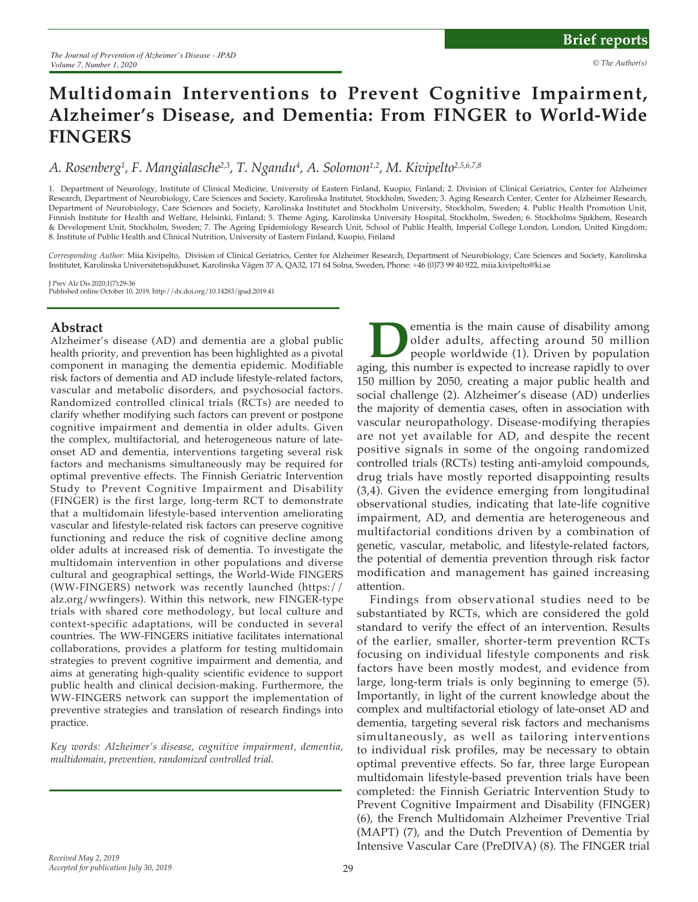# **Multidomain Interventions to Prevent Cognitive Impairment, Alzheimer's Disease, and Dementia: From FINGER to World-Wide FINGERS**

## A. Rosenberg<sup>1</sup>, F. Mangialasche<sup>2,3</sup>, T. Ngandu<sup>4</sup>, A. Solomon<sup>1,2</sup>, M. Kivipelto<sup>2,5,6,7,8</sup>

1. Department of Neurology, Institute of Clinical Medicine, University of Eastern Finland, Kuopio, Finland; 2. Division of Clinical Geriatrics, Center for Alzheimer Research, Department of Neurobiology, Care Sciences and Society, Karolinska Institutet, Stockholm, Sweden; 3. Aging Research Center, Center for Alzheimer Research, Department of Neurobiology, Care Sciences and Society, Karolinska Institutet and Stockholm University, Stockholm, Sweden; 4. Public Health Promotion Unit, Finnish Institute for Health and Welfare, Helsinki, Finland; 5. Theme Aging, Karolinska University Hospital, Stockholm, Sweden; 6. Stockholms Sjukhem, Research & Development Unit, Stockholm, Sweden; 7. The Ageing Epidemiology Research Unit, School of Public Health, Imperial College London, London, United Kingdom; 8. Institute of Public Health and Clinical Nutrition, University of Eastern Finland, Kuopio, Finland

*Corresponding Author:* Miia Kivipelto, Division of Clinical Geriatrics, Center for Alzheimer Research, Department of Neurobiology, Care Sciences and Society, Karolinska Institutet, Karolinska Universitetssjukhuset, Karolinska Vägen 37 A, QA32, 171 64 Solna, Sweden, Phone: +46 (0)73 99 40 922, miia.kivipelto@ki.se

J Prev Alz Dis 2020;1(7):29-36 Published online October 10, 2019, http://dx.doi.org/10.14283/jpad.2019.41

#### **Abstract**

Alzheimer's disease (AD) and dementia are a global public health priority, and prevention has been highlighted as a pivotal component in managing the dementia epidemic. Modifiable risk factors of dementia and AD include lifestyle-related factors, vascular and metabolic disorders, and psychosocial factors. Randomized controlled clinical trials (RCTs) are needed to clarify whether modifying such factors can prevent or postpone cognitive impairment and dementia in older adults. Given the complex, multifactorial, and heterogeneous nature of lateonset AD and dementia, interventions targeting several risk factors and mechanisms simultaneously may be required for optimal preventive effects. The Finnish Geriatric Intervention Study to Prevent Cognitive Impairment and Disability (FINGER) is the first large, long-term RCT to demonstrate that a multidomain lifestyle-based intervention ameliorating vascular and lifestyle-related risk factors can preserve cognitive functioning and reduce the risk of cognitive decline among older adults at increased risk of dementia. To investigate the multidomain intervention in other populations and diverse cultural and geographical settings, the World-Wide FINGERS (WW-FINGERS) network was recently launched (https:// alz.org/wwfingers). Within this network, new FINGER-type trials with shared core methodology, but local culture and context-specific adaptations, will be conducted in several countries. The WW-FINGERS initiative facilitates international collaborations, provides a platform for testing multidomain strategies to prevent cognitive impairment and dementia, and aims at generating high-quality scientific evidence to support public health and clinical decision-making. Furthermore, the WW-FINGERS network can support the implementation of preventive strategies and translation of research findings into practice.

*Key words: Alzheimer's disease, cognitive impairment, dementia, multidomain, prevention, randomized controlled trial.*

**Dementia is the main cause of disability among older adults, affecting around 50 million people worldwide (1). Driven by population aging, this number is expected to increase rapidly to over** older adults, affecting around 50 million people worldwide (1). Driven by population 150 million by 2050, creating a major public health and social challenge (2). Alzheimer's disease (AD) underlies the majority of dementia cases, often in association with vascular neuropathology. Disease-modifying therapies are not yet available for AD, and despite the recent positive signals in some of the ongoing randomized controlled trials (RCTs) testing anti-amyloid compounds, drug trials have mostly reported disappointing results (3,4). Given the evidence emerging from longitudinal observational studies, indicating that late-life cognitive impairment, AD, and dementia are heterogeneous and multifactorial conditions driven by a combination of genetic, vascular, metabolic, and lifestyle-related factors, the potential of dementia prevention through risk factor modification and management has gained increasing attention.

Findings from observational studies need to be substantiated by RCTs, which are considered the gold standard to verify the effect of an intervention. Results of the earlier, smaller, shorter-term prevention RCTs focusing on individual lifestyle components and risk factors have been mostly modest, and evidence from large, long-term trials is only beginning to emerge (5). Importantly, in light of the current knowledge about the complex and multifactorial etiology of late-onset AD and dementia, targeting several risk factors and mechanisms simultaneously, as well as tailoring interventions to individual risk profiles, may be necessary to obtain optimal preventive effects. So far, three large European multidomain lifestyle-based prevention trials have been completed: the Finnish Geriatric Intervention Study to Prevent Cognitive Impairment and Disability (FINGER) (6), the French Multidomain Alzheimer Preventive Trial (MAPT) (7), and the Dutch Prevention of Dementia by Intensive Vascular Care (PreDIVA) (8). The FINGER trial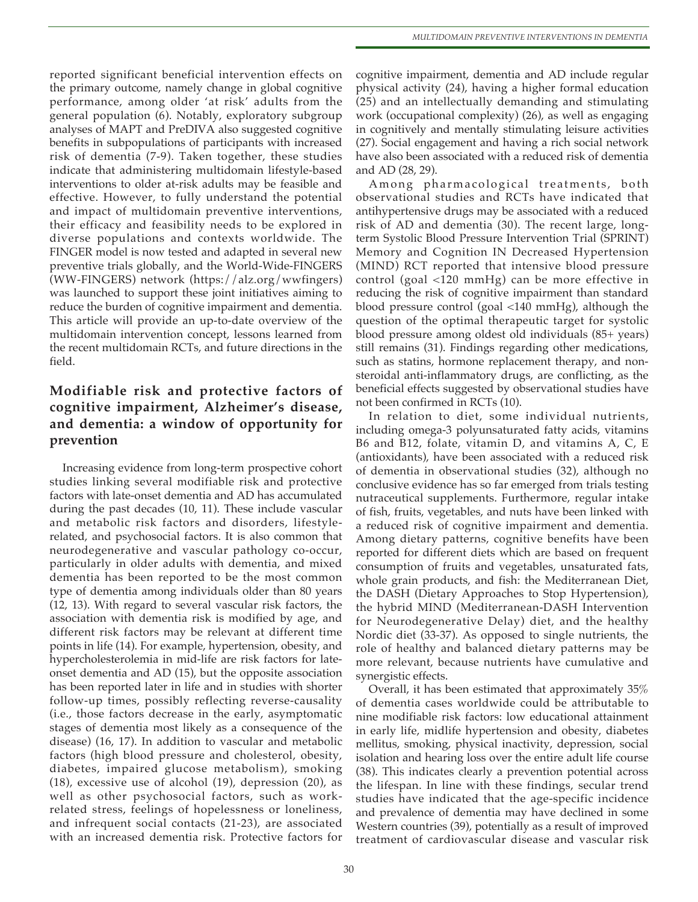reported significant beneficial intervention effects on the primary outcome, namely change in global cognitive performance, among older 'at risk' adults from the general population (6). Notably, exploratory subgroup analyses of MAPT and PreDIVA also suggested cognitive benefits in subpopulations of participants with increased risk of dementia (7-9). Taken together, these studies indicate that administering multidomain lifestyle-based interventions to older at-risk adults may be feasible and effective. However, to fully understand the potential and impact of multidomain preventive interventions, their efficacy and feasibility needs to be explored in diverse populations and contexts worldwide. The FINGER model is now tested and adapted in several new preventive trials globally, and the World-Wide-FINGERS (WW-FINGERS) network (https://alz.org/wwfingers) was launched to support these joint initiatives aiming to reduce the burden of cognitive impairment and dementia. This article will provide an up-to-date overview of the multidomain intervention concept, lessons learned from the recent multidomain RCTs, and future directions in the field.

## **Modifiable risk and protective factors of cognitive impairment, Alzheimer's disease, and dementia: a window of opportunity for prevention**

Increasing evidence from long-term prospective cohort studies linking several modifiable risk and protective factors with late-onset dementia and AD has accumulated during the past decades (10, 11). These include vascular and metabolic risk factors and disorders, lifestylerelated, and psychosocial factors. It is also common that neurodegenerative and vascular pathology co-occur, particularly in older adults with dementia, and mixed dementia has been reported to be the most common type of dementia among individuals older than 80 years (12, 13). With regard to several vascular risk factors, the association with dementia risk is modified by age, and different risk factors may be relevant at different time points in life (14). For example, hypertension, obesity, and hypercholesterolemia in mid-life are risk factors for lateonset dementia and AD (15), but the opposite association has been reported later in life and in studies with shorter follow-up times, possibly reflecting reverse-causality (i.e., those factors decrease in the early, asymptomatic stages of dementia most likely as a consequence of the disease) (16, 17). In addition to vascular and metabolic factors (high blood pressure and cholesterol, obesity, diabetes, impaired glucose metabolism), smoking (18), excessive use of alcohol (19), depression (20), as well as other psychosocial factors, such as workrelated stress, feelings of hopelessness or loneliness, and infrequent social contacts (21-23), are associated with an increased dementia risk. Protective factors for

cognitive impairment, dementia and AD include regular physical activity (24), having a higher formal education (25) and an intellectually demanding and stimulating work (occupational complexity) (26), as well as engaging in cognitively and mentally stimulating leisure activities (27). Social engagement and having a rich social network have also been associated with a reduced risk of dementia and AD (28, 29).

Among pharmacological treatments, both observational studies and RCTs have indicated that antihypertensive drugs may be associated with a reduced risk of AD and dementia (30). The recent large, longterm Systolic Blood Pressure Intervention Trial (SPRINT) Memory and Cognition IN Decreased Hypertension (MIND) RCT reported that intensive blood pressure control (goal <120 mmHg) can be more effective in reducing the risk of cognitive impairment than standard blood pressure control (goal <140 mmHg), although the question of the optimal therapeutic target for systolic blood pressure among oldest old individuals (85+ years) still remains (31). Findings regarding other medications, such as statins, hormone replacement therapy, and nonsteroidal anti-inflammatory drugs, are conflicting, as the beneficial effects suggested by observational studies have not been confirmed in RCTs (10).

In relation to diet, some individual nutrients, including omega-3 polyunsaturated fatty acids, vitamins B6 and B12, folate, vitamin D, and vitamins A, C, E (antioxidants), have been associated with a reduced risk of dementia in observational studies (32), although no conclusive evidence has so far emerged from trials testing nutraceutical supplements. Furthermore, regular intake of fish, fruits, vegetables, and nuts have been linked with a reduced risk of cognitive impairment and dementia. Among dietary patterns, cognitive benefits have been reported for different diets which are based on frequent consumption of fruits and vegetables, unsaturated fats, whole grain products, and fish: the Mediterranean Diet, the DASH (Dietary Approaches to Stop Hypertension), the hybrid MIND (Mediterranean-DASH Intervention for Neurodegenerative Delay) diet, and the healthy Nordic diet (33-37). As opposed to single nutrients, the role of healthy and balanced dietary patterns may be more relevant, because nutrients have cumulative and synergistic effects.

Overall, it has been estimated that approximately 35% of dementia cases worldwide could be attributable to nine modifiable risk factors: low educational attainment in early life, midlife hypertension and obesity, diabetes mellitus, smoking, physical inactivity, depression, social isolation and hearing loss over the entire adult life course (38). This indicates clearly a prevention potential across the lifespan. In line with these findings, secular trend studies have indicated that the age-specific incidence and prevalence of dementia may have declined in some Western countries (39), potentially as a result of improved treatment of cardiovascular disease and vascular risk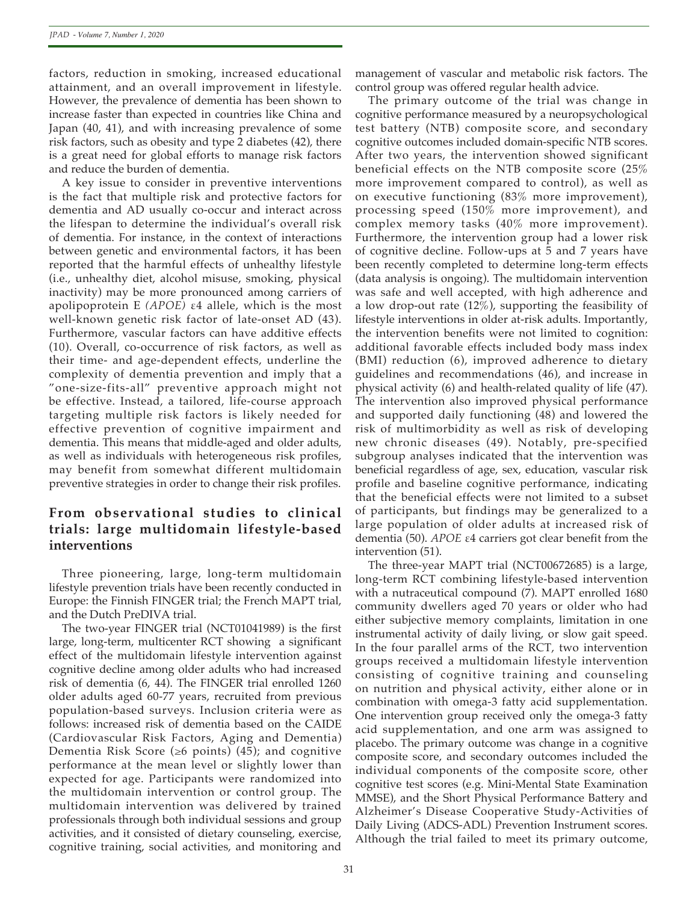factors, reduction in smoking, increased educational attainment, and an overall improvement in lifestyle. However, the prevalence of dementia has been shown to increase faster than expected in countries like China and Japan (40, 41), and with increasing prevalence of some risk factors, such as obesity and type 2 diabetes (42), there is a great need for global efforts to manage risk factors and reduce the burden of dementia.

A key issue to consider in preventive interventions is the fact that multiple risk and protective factors for dementia and AD usually co-occur and interact across the lifespan to determine the individual's overall risk of dementia. For instance, in the context of interactions between genetic and environmental factors, it has been reported that the harmful effects of unhealthy lifestyle (i.e., unhealthy diet, alcohol misuse, smoking, physical inactivity) may be more pronounced among carriers of apolipoprotein E *(APOE)* ε4 allele, which is the most well-known genetic risk factor of late-onset AD (43). Furthermore, vascular factors can have additive effects (10). Overall, co-occurrence of risk factors, as well as their time- and age-dependent effects, underline the complexity of dementia prevention and imply that a "one-size-fits-all" preventive approach might not be effective. Instead, a tailored, life-course approach targeting multiple risk factors is likely needed for effective prevention of cognitive impairment and dementia. This means that middle-aged and older adults, as well as individuals with heterogeneous risk profiles, may benefit from somewhat different multidomain preventive strategies in order to change their risk profiles.

## **From observational studies to clinical trials: large multidomain lifestyle-based interventions**

Three pioneering, large, long-term multidomain lifestyle prevention trials have been recently conducted in Europe: the Finnish FINGER trial; the French MAPT trial, and the Dutch PreDIVA trial.

The two-year FINGER trial (NCT01041989) is the first large, long-term, multicenter RCT showing a significant effect of the multidomain lifestyle intervention against cognitive decline among older adults who had increased risk of dementia (6, 44). The FINGER trial enrolled 1260 older adults aged 60-77 years, recruited from previous population-based surveys. Inclusion criteria were as follows: increased risk of dementia based on the CAIDE (Cardiovascular Risk Factors, Aging and Dementia) Dementia Risk Score (≥6 points) (45); and cognitive performance at the mean level or slightly lower than expected for age. Participants were randomized into the multidomain intervention or control group. The multidomain intervention was delivered by trained professionals through both individual sessions and group activities, and it consisted of dietary counseling, exercise, cognitive training, social activities, and monitoring and

management of vascular and metabolic risk factors. The control group was offered regular health advice.

The primary outcome of the trial was change in cognitive performance measured by a neuropsychological test battery (NTB) composite score, and secondary cognitive outcomes included domain-specific NTB scores. After two years, the intervention showed significant beneficial effects on the NTB composite score (25% more improvement compared to control), as well as on executive functioning (83% more improvement), processing speed (150% more improvement), and complex memory tasks (40% more improvement). Furthermore, the intervention group had a lower risk of cognitive decline. Follow-ups at 5 and 7 years have been recently completed to determine long-term effects (data analysis is ongoing). The multidomain intervention was safe and well accepted, with high adherence and a low drop-out rate (12%), supporting the feasibility of lifestyle interventions in older at-risk adults. Importantly, the intervention benefits were not limited to cognition: additional favorable effects included body mass index (BMI) reduction (6), improved adherence to dietary guidelines and recommendations (46), and increase in physical activity (6) and health-related quality of life (47). The intervention also improved physical performance and supported daily functioning (48) and lowered the risk of multimorbidity as well as risk of developing new chronic diseases (49). Notably, pre-specified subgroup analyses indicated that the intervention was beneficial regardless of age, sex, education, vascular risk profile and baseline cognitive performance, indicating that the beneficial effects were not limited to a subset of participants, but findings may be generalized to a large population of older adults at increased risk of dementia (50). *APOE* ε4 carriers got clear benefit from the intervention (51).

The three-year MAPT trial (NCT00672685) is a large, long-term RCT combining lifestyle-based intervention with a nutraceutical compound (7). MAPT enrolled 1680 community dwellers aged 70 years or older who had either subjective memory complaints, limitation in one instrumental activity of daily living, or slow gait speed. In the four parallel arms of the RCT, two intervention groups received a multidomain lifestyle intervention consisting of cognitive training and counseling on nutrition and physical activity, either alone or in combination with omega-3 fatty acid supplementation. One intervention group received only the omega-3 fatty acid supplementation, and one arm was assigned to placebo. The primary outcome was change in a cognitive composite score, and secondary outcomes included the individual components of the composite score, other cognitive test scores (e.g. Mini-Mental State Examination MMSE), and the Short Physical Performance Battery and Alzheimer's Disease Cooperative Study-Activities of Daily Living (ADCS-ADL) Prevention Instrument scores. Although the trial failed to meet its primary outcome,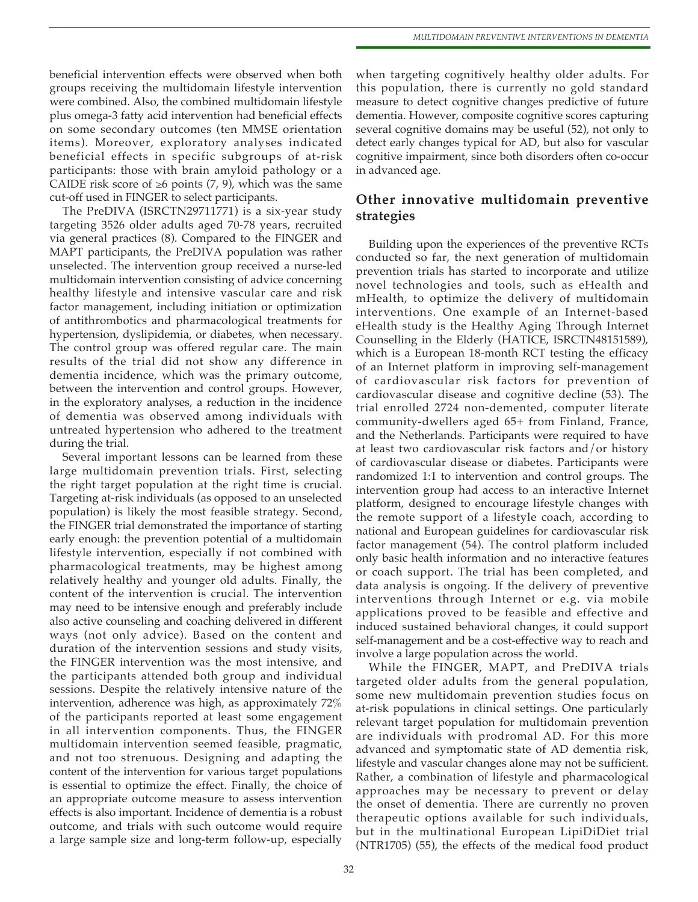beneficial intervention effects were observed when both groups receiving the multidomain lifestyle intervention were combined. Also, the combined multidomain lifestyle plus omega-3 fatty acid intervention had beneficial effects on some secondary outcomes (ten MMSE orientation items). Moreover, exploratory analyses indicated beneficial effects in specific subgroups of at-risk participants: those with brain amyloid pathology or a CAIDE risk score of  $\geq 6$  points (7, 9), which was the same cut-off used in FINGER to select participants.

The PreDIVA (ISRCTN29711771) is a six-year study targeting 3526 older adults aged 70-78 years, recruited via general practices (8). Compared to the FINGER and MAPT participants, the PreDIVA population was rather unselected. The intervention group received a nurse-led multidomain intervention consisting of advice concerning healthy lifestyle and intensive vascular care and risk factor management, including initiation or optimization of antithrombotics and pharmacological treatments for hypertension, dyslipidemia, or diabetes, when necessary. The control group was offered regular care. The main results of the trial did not show any difference in dementia incidence, which was the primary outcome, between the intervention and control groups. However, in the exploratory analyses, a reduction in the incidence of dementia was observed among individuals with untreated hypertension who adhered to the treatment during the trial.

Several important lessons can be learned from these large multidomain prevention trials. First, selecting the right target population at the right time is crucial. Targeting at-risk individuals (as opposed to an unselected population) is likely the most feasible strategy. Second, the FINGER trial demonstrated the importance of starting early enough: the prevention potential of a multidomain lifestyle intervention, especially if not combined with pharmacological treatments, may be highest among relatively healthy and younger old adults. Finally, the content of the intervention is crucial. The intervention may need to be intensive enough and preferably include also active counseling and coaching delivered in different ways (not only advice). Based on the content and duration of the intervention sessions and study visits, the FINGER intervention was the most intensive, and the participants attended both group and individual sessions. Despite the relatively intensive nature of the intervention, adherence was high, as approximately 72% of the participants reported at least some engagement in all intervention components. Thus, the FINGER multidomain intervention seemed feasible, pragmatic, and not too strenuous. Designing and adapting the content of the intervention for various target populations is essential to optimize the effect. Finally, the choice of an appropriate outcome measure to assess intervention effects is also important. Incidence of dementia is a robust outcome, and trials with such outcome would require a large sample size and long-term follow-up, especially

when targeting cognitively healthy older adults. For this population, there is currently no gold standard measure to detect cognitive changes predictive of future dementia. However, composite cognitive scores capturing several cognitive domains may be useful (52), not only to detect early changes typical for AD, but also for vascular cognitive impairment, since both disorders often co-occur in advanced age.

### **Other innovative multidomain preventive strategies**

Building upon the experiences of the preventive RCTs conducted so far, the next generation of multidomain prevention trials has started to incorporate and utilize novel technologies and tools, such as eHealth and mHealth, to optimize the delivery of multidomain interventions. One example of an Internet-based eHealth study is the Healthy Aging Through Internet Counselling in the Elderly (HATICE, ISRCTN48151589), which is a European 18-month RCT testing the efficacy of an Internet platform in improving self-management of cardiovascular risk factors for prevention of cardiovascular disease and cognitive decline (53). The trial enrolled 2724 non-demented, computer literate community-dwellers aged 65+ from Finland, France, and the Netherlands. Participants were required to have at least two cardiovascular risk factors and/or history of cardiovascular disease or diabetes. Participants were randomized 1:1 to intervention and control groups. The intervention group had access to an interactive Internet platform, designed to encourage lifestyle changes with the remote support of a lifestyle coach, according to national and European guidelines for cardiovascular risk factor management (54). The control platform included only basic health information and no interactive features or coach support. The trial has been completed, and data analysis is ongoing. If the delivery of preventive interventions through Internet or e.g. via mobile applications proved to be feasible and effective and induced sustained behavioral changes, it could support self-management and be a cost-effective way to reach and involve a large population across the world.

While the FINGER, MAPT, and PreDIVA trials targeted older adults from the general population, some new multidomain prevention studies focus on at-risk populations in clinical settings. One particularly relevant target population for multidomain prevention are individuals with prodromal AD. For this more advanced and symptomatic state of AD dementia risk, lifestyle and vascular changes alone may not be sufficient. Rather, a combination of lifestyle and pharmacological approaches may be necessary to prevent or delay the onset of dementia. There are currently no proven therapeutic options available for such individuals, but in the multinational European LipiDiDiet trial (NTR1705) (55), the effects of the medical food product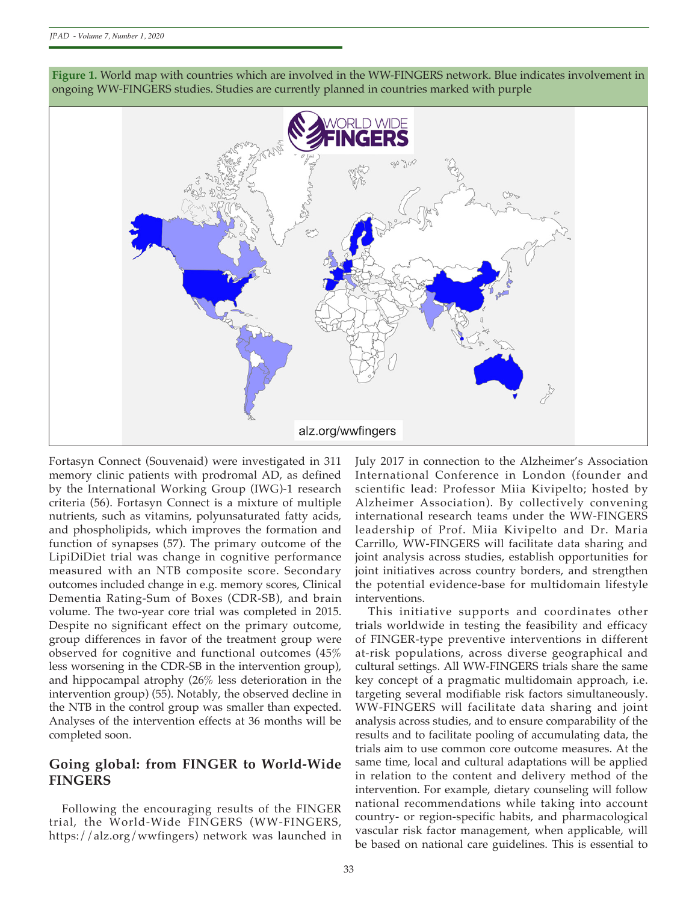

**Figure 1.** World map with countries which are involved in the WW-FINGERS network. Blue indicates involvement in ongoing WW-FINGERS studies. Studies are currently planned in countries marked with purple

Fortasyn Connect (Souvenaid) were investigated in 311 memory clinic patients with prodromal AD, as defined by the International Working Group (IWG)-1 research criteria (56). Fortasyn Connect is a mixture of multiple nutrients, such as vitamins, polyunsaturated fatty acids, and phospholipids, which improves the formation and function of synapses (57). The primary outcome of the LipiDiDiet trial was change in cognitive performance measured with an NTB composite score. Secondary outcomes included change in e.g. memory scores, Clinical Dementia Rating-Sum of Boxes (CDR-SB), and brain volume. The two-year core trial was completed in 2015. Despite no significant effect on the primary outcome, group differences in favor of the treatment group were observed for cognitive and functional outcomes (45% less worsening in the CDR-SB in the intervention group), and hippocampal atrophy (26% less deterioration in the intervention group) (55). Notably, the observed decline in the NTB in the control group was smaller than expected. Analyses of the intervention effects at 36 months will be completed soon.

#### **Going global: from FINGER to World-Wide FINGERS**

Following the encouraging results of the FINGER trial, the World-Wide FINGERS (WW-FINGERS, https://alz.org/wwfingers) network was launched in July 2017 in connection to the Alzheimer's Association International Conference in London (founder and scientific lead: Professor Miia Kivipelto; hosted by Alzheimer Association). By collectively convening international research teams under the WW-FINGERS leadership of Prof. Miia Kivipelto and Dr. Maria Carrillo, WW-FINGERS will facilitate data sharing and joint analysis across studies, establish opportunities for joint initiatives across country borders, and strengthen the potential evidence-base for multidomain lifestyle interventions.

This initiative supports and coordinates other trials worldwide in testing the feasibility and efficacy of FINGER-type preventive interventions in different at-risk populations, across diverse geographical and cultural settings. All WW-FINGERS trials share the same key concept of a pragmatic multidomain approach, i.e. targeting several modifiable risk factors simultaneously. WW-FINGERS will facilitate data sharing and joint analysis across studies, and to ensure comparability of the results and to facilitate pooling of accumulating data, the trials aim to use common core outcome measures. At the same time, local and cultural adaptations will be applied in relation to the content and delivery method of the intervention. For example, dietary counseling will follow national recommendations while taking into account country- or region-specific habits, and pharmacological vascular risk factor management, when applicable, will be based on national care guidelines. This is essential to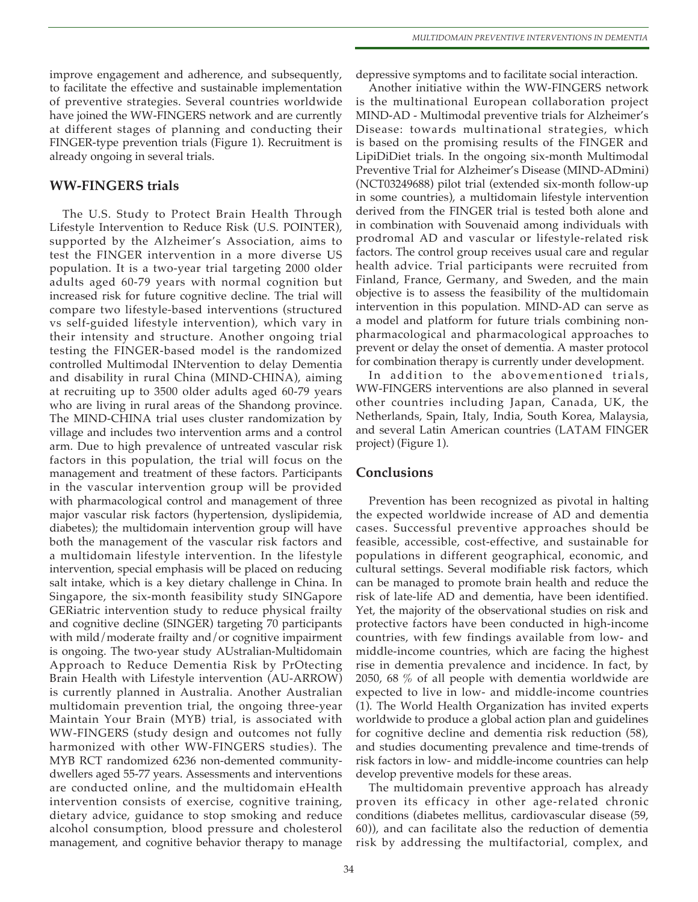improve engagement and adherence, and subsequently, to facilitate the effective and sustainable implementation of preventive strategies. Several countries worldwide have joined the WW-FINGERS network and are currently at different stages of planning and conducting their FINGER-type prevention trials (Figure 1). Recruitment is already ongoing in several trials.

#### **WW-FINGERS trials**

The U.S. Study to Protect Brain Health Through Lifestyle Intervention to Reduce Risk (U.S. POINTER), supported by the Alzheimer's Association, aims to test the FINGER intervention in a more diverse US population. It is a two-year trial targeting 2000 older adults aged 60-79 years with normal cognition but increased risk for future cognitive decline. The trial will compare two lifestyle-based interventions (structured vs self-guided lifestyle intervention), which vary in their intensity and structure. Another ongoing trial testing the FINGER-based model is the randomized controlled Multimodal INtervention to delay Dementia and disability in rural China (MIND-CHINA), aiming at recruiting up to 3500 older adults aged 60-79 years who are living in rural areas of the Shandong province. The MIND-CHINA trial uses cluster randomization by village and includes two intervention arms and a control arm. Due to high prevalence of untreated vascular risk factors in this population, the trial will focus on the management and treatment of these factors. Participants in the vascular intervention group will be provided with pharmacological control and management of three major vascular risk factors (hypertension, dyslipidemia, diabetes); the multidomain intervention group will have both the management of the vascular risk factors and a multidomain lifestyle intervention. In the lifestyle intervention, special emphasis will be placed on reducing salt intake, which is a key dietary challenge in China. In Singapore, the six-month feasibility study SINGapore GERiatric intervention study to reduce physical frailty and cognitive decline (SINGER) targeting 70 participants with mild/moderate frailty and/or cognitive impairment is ongoing. The two-year study AUstralian-Multidomain Approach to Reduce Dementia Risk by PrOtecting Brain Health with Lifestyle intervention (AU-ARROW) is currently planned in Australia. Another Australian multidomain prevention trial, the ongoing three-year Maintain Your Brain (MYB) trial, is associated with WW-FINGERS (study design and outcomes not fully harmonized with other WW-FINGERS studies). The MYB RCT randomized 6236 non-demented communitydwellers aged 55-77 years. Assessments and interventions are conducted online, and the multidomain eHealth intervention consists of exercise, cognitive training, dietary advice, guidance to stop smoking and reduce alcohol consumption, blood pressure and cholesterol management, and cognitive behavior therapy to manage

depressive symptoms and to facilitate social interaction.

Another initiative within the WW-FINGERS network is the multinational European collaboration project MIND-AD - Multimodal preventive trials for Alzheimer's Disease: towards multinational strategies, which is based on the promising results of the FINGER and LipiDiDiet trials. In the ongoing six-month Multimodal Preventive Trial for Alzheimer's Disease (MIND-ADmini) (NCT03249688) pilot trial (extended six-month follow-up in some countries), a multidomain lifestyle intervention derived from the FINGER trial is tested both alone and in combination with Souvenaid among individuals with prodromal AD and vascular or lifestyle-related risk factors. The control group receives usual care and regular health advice. Trial participants were recruited from Finland, France, Germany, and Sweden, and the main objective is to assess the feasibility of the multidomain intervention in this population. MIND-AD can serve as a model and platform for future trials combining nonpharmacological and pharmacological approaches to prevent or delay the onset of dementia. A master protocol for combination therapy is currently under development.

In addition to the abovementioned trials, WW-FINGERS interventions are also planned in several other countries including Japan, Canada, UK, the Netherlands, Spain, Italy, India, South Korea, Malaysia, and several Latin American countries (LATAM FINGER project) (Figure 1).

#### **Conclusions**

Prevention has been recognized as pivotal in halting the expected worldwide increase of AD and dementia cases. Successful preventive approaches should be feasible, accessible, cost-effective, and sustainable for populations in different geographical, economic, and cultural settings. Several modifiable risk factors, which can be managed to promote brain health and reduce the risk of late-life AD and dementia, have been identified. Yet, the majority of the observational studies on risk and protective factors have been conducted in high-income countries, with few findings available from low- and middle-income countries, which are facing the highest rise in dementia prevalence and incidence. In fact, by 2050, 68 % of all people with dementia worldwide are expected to live in low- and middle-income countries (1). The World Health Organization has invited experts worldwide to produce a global action plan and guidelines for cognitive decline and dementia risk reduction (58), and studies documenting prevalence and time-trends of risk factors in low- and middle-income countries can help develop preventive models for these areas.

The multidomain preventive approach has already proven its efficacy in other age-related chronic conditions (diabetes mellitus, cardiovascular disease (59, 60)), and can facilitate also the reduction of dementia risk by addressing the multifactorial, complex, and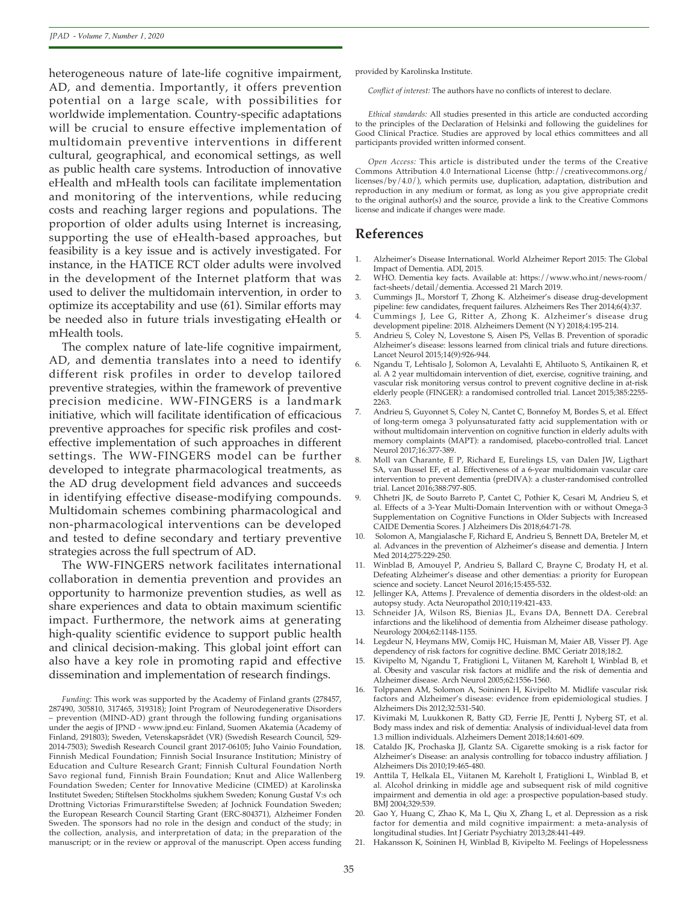heterogeneous nature of late-life cognitive impairment, AD, and dementia. Importantly, it offers prevention potential on a large scale, with possibilities for worldwide implementation. Country-specific adaptations will be crucial to ensure effective implementation of multidomain preventive interventions in different cultural, geographical, and economical settings, as well as public health care systems. Introduction of innovative eHealth and mHealth tools can facilitate implementation and monitoring of the interventions, while reducing costs and reaching larger regions and populations. The proportion of older adults using Internet is increasing, supporting the use of eHealth-based approaches, but feasibility is a key issue and is actively investigated. For instance, in the HATICE RCT older adults were involved in the development of the Internet platform that was used to deliver the multidomain intervention, in order to optimize its acceptability and use (61). Similar efforts may be needed also in future trials investigating eHealth or mHealth tools.

The complex nature of late-life cognitive impairment, AD, and dementia translates into a need to identify different risk profiles in order to develop tailored preventive strategies, within the framework of preventive precision medicine. WW-FINGERS is a landmark initiative, which will facilitate identification of efficacious preventive approaches for specific risk profiles and costeffective implementation of such approaches in different settings. The WW-FINGERS model can be further developed to integrate pharmacological treatments, as the AD drug development field advances and succeeds in identifying effective disease-modifying compounds. Multidomain schemes combining pharmacological and non-pharmacological interventions can be developed and tested to define secondary and tertiary preventive strategies across the full spectrum of AD.

The WW-FINGERS network facilitates international collaboration in dementia prevention and provides an opportunity to harmonize prevention studies, as well as share experiences and data to obtain maximum scientific impact. Furthermore, the network aims at generating high-quality scientific evidence to support public health and clinical decision-making. This global joint effort can also have a key role in promoting rapid and effective dissemination and implementation of research findings.

provided by Karolinska Institute.

*Conflict of interest:* The authors have no conflicts of interest to declare.

*Ethical standards:* All studies presented in this article are conducted according to the principles of the Declaration of Helsinki and following the guidelines for Good Clinical Practice. Studies are approved by local ethics committees and all participants provided written informed consent.

*Open Access:* This article is distributed under the terms of the Creative Commons Attribution 4.0 International License (http://creativecommons.org/ licenses/by/4.0/), which permits use, duplication, adaptation, distribution and reproduction in any medium or format, as long as you give appropriate credit to the original author(s) and the source, provide a link to the Creative Commons license and indicate if changes were made.

#### **References**

- 1. Alzheimer's Disease International. World Alzheimer Report 2015: The Global Impact of Dementia. ADI, 2015.
- 2. WHO. Dementia key facts. Available at: https://www.who.int/news-room/ fact-sheets/detail/dementia. Accessed 21 March 2019.
- 3. Cummings JL, Morstorf T, Zhong K. Alzheimer's disease drug-development pipeline: few candidates, frequent failures. Alzheimers Res Ther 2014;6(4):37.
- 4. Cummings J, Lee G, Ritter A, Zhong K. Alzheimer's disease drug development pipeline: 2018. Alzheimers Dement (N Y) 2018;4:195-214.
- 5. Andrieu S, Coley N, Lovestone S, Aisen PS, Vellas B. Prevention of sporadic Alzheimer's disease: lessons learned from clinical trials and future directions. Lancet Neurol 2015;14(9):926-944.
- 6. Ngandu T, Lehtisalo J, Solomon A, Levalahti E, Ahtiluoto S, Antikainen R, et al. A 2 year multidomain intervention of diet, exercise, cognitive training, and vascular risk monitoring versus control to prevent cognitive decline in at-risk elderly people (FINGER): a randomised controlled trial. Lancet 2015;385:2255- 2263.
- 7. Andrieu S, Guyonnet S, Coley N, Cantet C, Bonnefoy M, Bordes S, et al. Effect of long-term omega 3 polyunsaturated fatty acid supplementation with or without multidomain intervention on cognitive function in elderly adults with memory complaints (MAPT): a randomised, placebo-controlled trial. Lancet Neurol 2017;16:377-389.
- 8. Moll van Charante, E P, Richard E, Eurelings LS, van Dalen JW, Ligthart SA, van Bussel EF, et al. Effectiveness of a 6-year multidomain vascular care intervention to prevent dementia (preDIVA): a cluster-randomised controlled trial. Lancet 2016;388:797-805.
- 9. Chhetri JK, de Souto Barreto P, Cantet C, Pothier K, Cesari M, Andrieu S, et al. Effects of a 3-Year Multi-Domain Intervention with or without Omega-3 Supplementation on Cognitive Functions in Older Subjects with Increased CAIDE Dementia Scores. J Alzheimers Dis 2018;64:71-78.
- 10. Solomon A, Mangialasche F, Richard E, Andrieu S, Bennett DA, Breteler M, et al. Advances in the prevention of Alzheimer's disease and dementia. J Intern Med 2014;275:229-250.
- 11. Winblad B, Amouyel P, Andrieu S, Ballard C, Brayne C, Brodaty H, et al. Defeating Alzheimer's disease and other dementias: a priority for European science and society. Lancet Neurol 2016;15:455-532.
- 12. Jellinger KA, Attems J. Prevalence of dementia disorders in the oldest-old: an autopsy study. Acta Neuropathol 2010;119:421-433.
- 13. Schneider JA, Wilson RS, Bienias JL, Evans DA, Bennett DA. Cerebral infarctions and the likelihood of dementia from Alzheimer disease pathology. Neurology 2004;62:1148-1155.
- 14. Legdeur N, Heymans MW, Comijs HC, Huisman M, Maier AB, Visser PJ. Age dependency of risk factors for cognitive decline. BMC Geriatr 2018;18:2.
- 15. Kivipelto M, Ngandu T, Fratiglioni L, Viitanen M, Kareholt I, Winblad B, et al. Obesity and vascular risk factors at midlife and the risk of dementia and Alzheimer disease. Arch Neurol 2005;62:1556-1560.
- 16. Tolppanen AM, Solomon A, Soininen H, Kivipelto M. Midlife vascular risk factors and Alzheimer's disease: evidence from epidemiological studies. J Alzheimers Dis 2012;32:531-540.
- Kivimaki M, Luukkonen R, Batty GD, Ferrie JE, Pentti J, Nyberg ST, et al. Body mass index and risk of dementia: Analysis of individual-level data from 1.3 million individuals. Alzheimers Dement 2018;14:601-609.
- 18. Cataldo JK, Prochaska JJ, Glantz SA. Cigarette smoking is a risk factor for Alzheimer's Disease: an analysis controlling for tobacco industry affiliation. J Alzheimers Dis 2010;19:465-480.
- 19. Anttila T, Helkala EL, Viitanen M, Kareholt I, Fratiglioni L, Winblad B, et al. Alcohol drinking in middle age and subsequent risk of mild cognitive impairment and dementia in old age: a prospective population-based study. BMJ 2004;329:539.
- 20. Gao Y, Huang C, Zhao K, Ma L, Qiu X, Zhang L, et al. Depression as a risk factor for dementia and mild cognitive impairment: a meta-analysis of longitudinal studies. Int J Geriatr Psychiatry 2013;28:441-449.
- 21. Hakansson K, Soininen H, Winblad B, Kivipelto M. Feelings of Hopelessness

*Funding:* This work was supported by the Academy of Finland grants (278457, 287490, 305810, 317465, 319318); Joint Program of Neurodegenerative Disorders – prevention (MIND-AD) grant through the following funding organisations under the aegis of JPND - www.jpnd.eu: Finland, Suomen Akatemia (Academy of Finland, 291803); Sweden, Vetenskapsrådet (VR) (Swedish Research Council, 529- 2014-7503); Swedish Research Council grant 2017-06105; Juho Vainio Foundation, Finnish Medical Foundation; Finnish Social Insurance Institution; Ministry of Education and Culture Research Grant; Finnish Cultural Foundation North Savo regional fund, Finnish Brain Foundation; Knut and Alice Wallenberg Foundation Sweden; Center for Innovative Medicine (CIMED) at Karolinska Institutet Sweden; Stiftelsen Stockholms sjukhem Sweden; Konung Gustaf V:s och Drottning Victorias Frimurarstiftelse Sweden; af Jochnick Foundation Sweden; the European Research Council Starting Grant (ERC-804371), Alzheimer Fonden Sweden. The sponsors had no role in the design and conduct of the study; in the collection, analysis, and interpretation of data; in the preparation of the manuscript; or in the review or approval of the manuscript. Open access funding